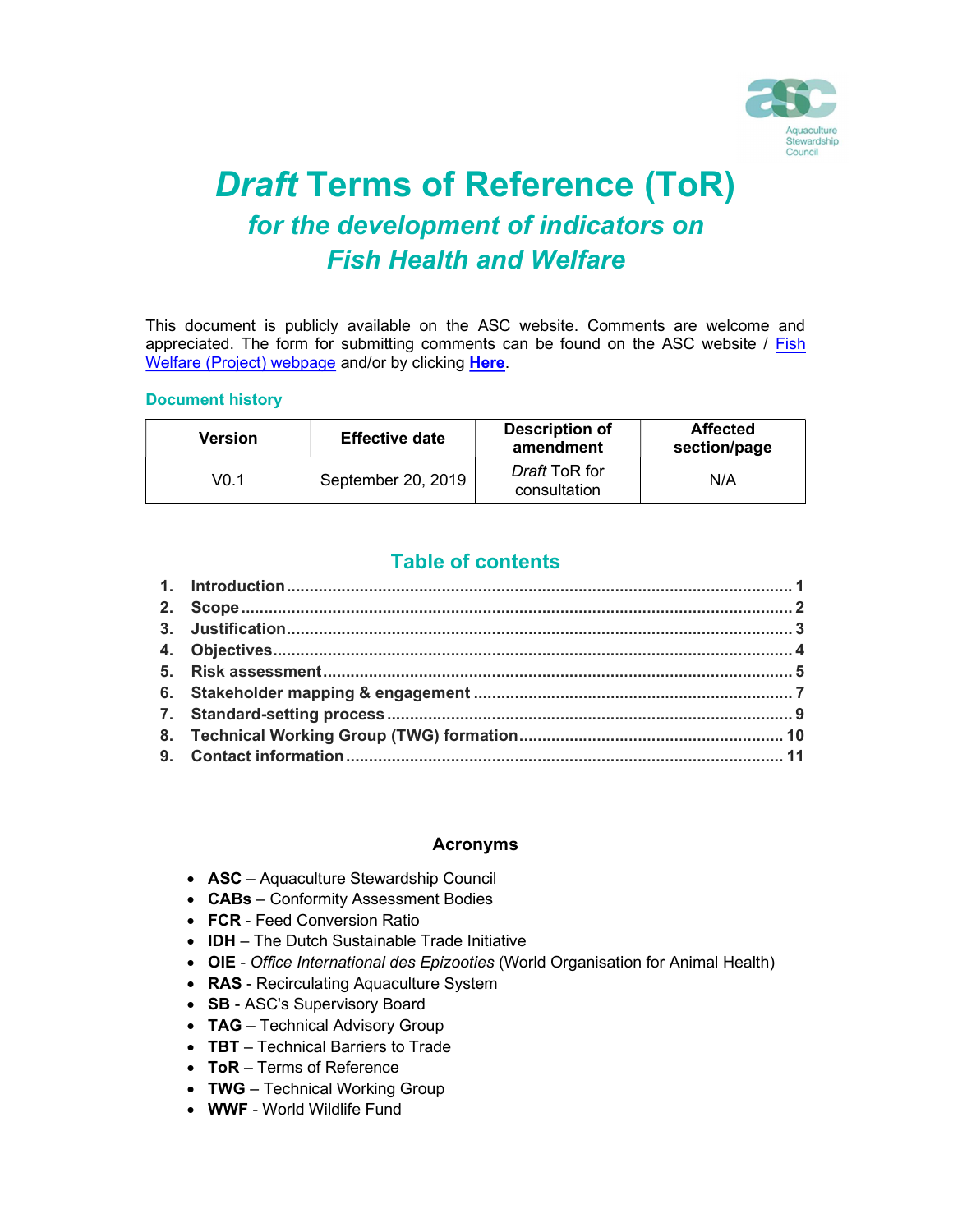

# Draft Terms of Reference (ToR) for the development of indicators on Fish Health and Welfare

This document is publicly available on the ASC website. Comments are welcome and appreciated. The form for submitting comments can be found on the ASC website / Fish Welfare (Project) webpage and/or by clicking **Here**.

#### Document history

| Version | <b>Effective date</b> | Description of<br>amendment          | <b>Affected</b><br>section/page |
|---------|-----------------------|--------------------------------------|---------------------------------|
| V0.1    | September 20, 2019    | <i>Draft</i> ToR for<br>consultation | N/A                             |

### Table of contents

#### Acronyms

- ASC Aquaculture Stewardship Council
- **CABs** Conformity Assessment Bodies
- FCR Feed Conversion Ratio
- IDH The Dutch Sustainable Trade Initiative
- OIE Office International des Epizooties (World Organisation for Animal Health)
- RAS Recirculating Aquaculture System
- SB ASC's Supervisory Board
- TAG Technical Advisory Group
- TBT Technical Barriers to Trade
- ToR Terms of Reference
- TWG Technical Working Group
- WWF World Wildlife Fund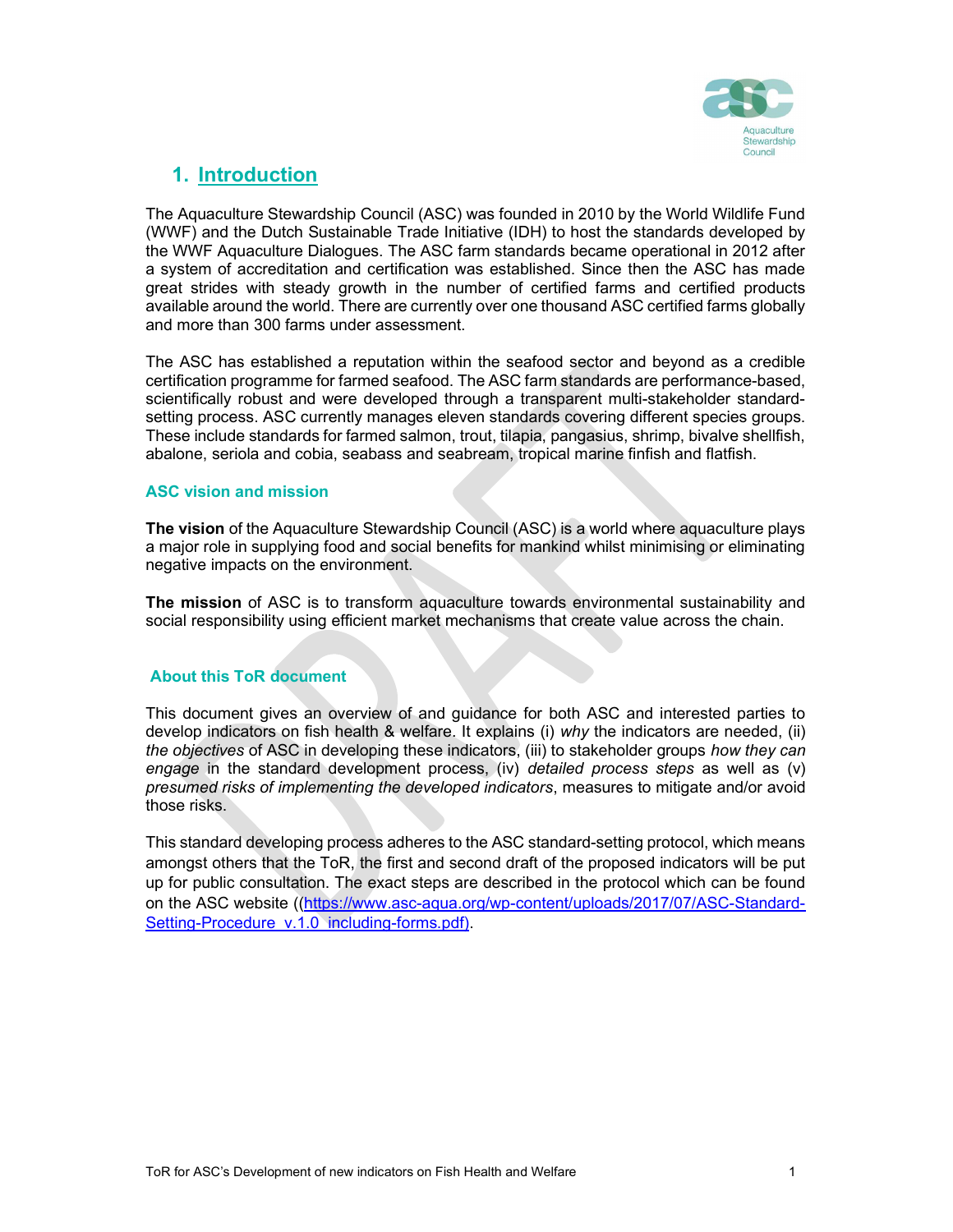

### 1. Introduction

The Aquaculture Stewardship Council (ASC) was founded in 2010 by the World Wildlife Fund (WWF) and the Dutch Sustainable Trade Initiative (IDH) to host the standards developed by the WWF Aquaculture Dialogues. The ASC farm standards became operational in 2012 after a system of accreditation and certification was established. Since then the ASC has made great strides with steady growth in the number of certified farms and certified products available around the world. There are currently over one thousand ASC certified farms globally and more than 300 farms under assessment.

The ASC has established a reputation within the seafood sector and beyond as a credible certification programme for farmed seafood. The ASC farm standards are performance-based, scientifically robust and were developed through a transparent multi-stakeholder standardsetting process. ASC currently manages eleven standards covering different species groups. These include standards for farmed salmon, trout, tilapia, pangasius, shrimp, bivalve shellfish, abalone, seriola and cobia, seabass and seabream, tropical marine finfish and flatfish.

#### ASC vision and mission

The vision of the Aquaculture Stewardship Council (ASC) is a world where aquaculture plays a major role in supplying food and social benefits for mankind whilst minimising or eliminating negative impacts on the environment.

The mission of ASC is to transform aquaculture towards environmental sustainability and social responsibility using efficient market mechanisms that create value across the chain.

#### About this ToR document

This document gives an overview of and guidance for both ASC and interested parties to develop indicators on fish health & welfare. It explains (i) why the indicators are needed, (ii) the objectives of ASC in developing these indicators, (iii) to stakeholder groups how they can engage in the standard development process, (iv) detailed process steps as well as (v) presumed risks of implementing the developed indicators, measures to mitigate and/or avoid those risks.

This standard developing process adheres to the ASC standard-setting protocol, which means amongst others that the ToR, the first and second draft of the proposed indicators will be put up for public consultation. The exact steps are described in the protocol which can be found on the ASC website ((https://www.asc-aqua.org/wp-content/uploads/2017/07/ASC-Standard-Setting-Procedure\_v.1.0\_including-forms.pdf).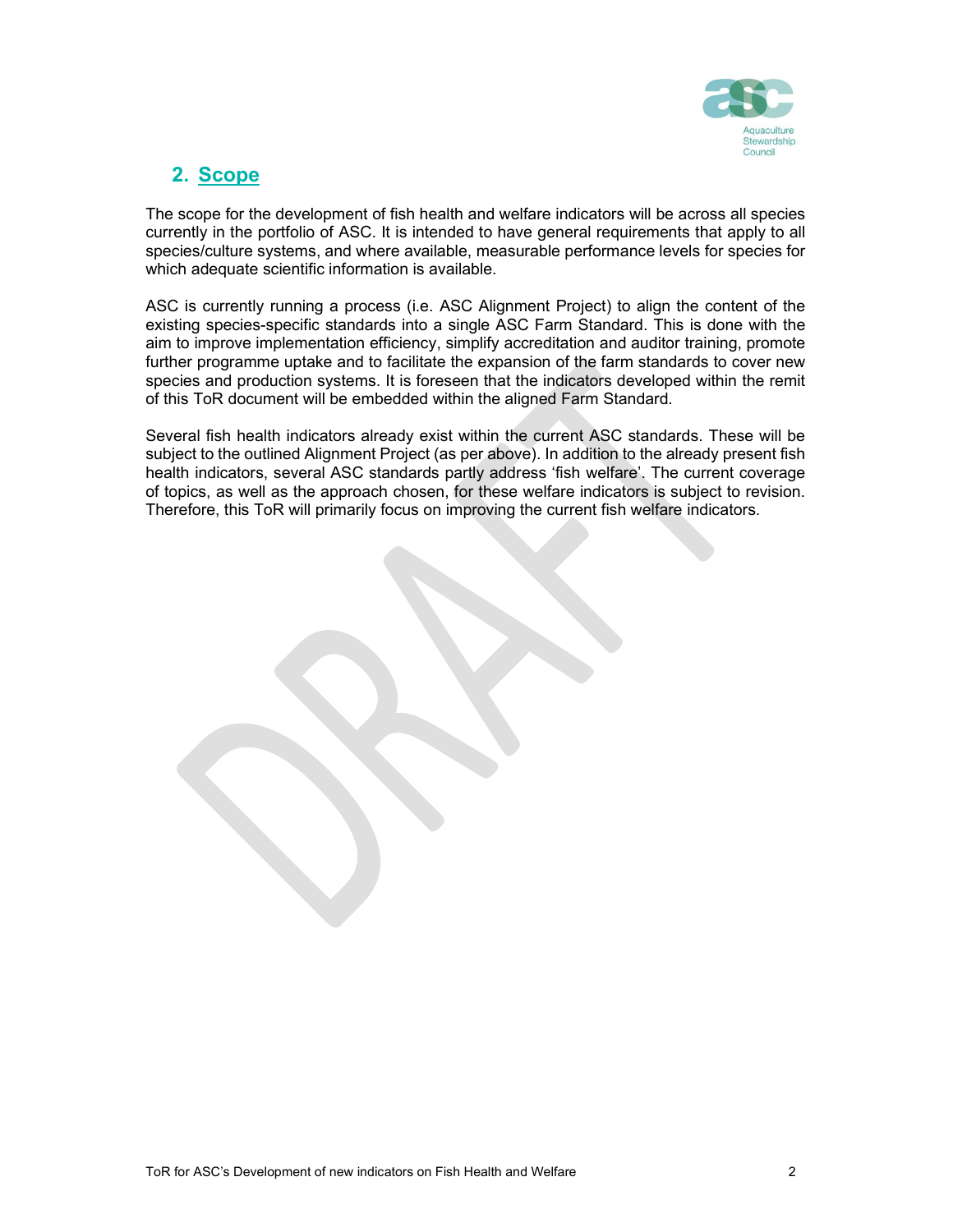

### 2. Scope

The scope for the development of fish health and welfare indicators will be across all species currently in the portfolio of ASC. It is intended to have general requirements that apply to all species/culture systems, and where available, measurable performance levels for species for which adequate scientific information is available.

ASC is currently running a process (i.e. ASC Alignment Project) to align the content of the existing species-specific standards into a single ASC Farm Standard. This is done with the aim to improve implementation efficiency, simplify accreditation and auditor training, promote further programme uptake and to facilitate the expansion of the farm standards to cover new species and production systems. It is foreseen that the indicators developed within the remit of this ToR document will be embedded within the aligned Farm Standard.

Several fish health indicators already exist within the current ASC standards. These will be subject to the outlined Alignment Project (as per above). In addition to the already present fish health indicators, several ASC standards partly address 'fish welfare'. The current coverage of topics, as well as the approach chosen, for these welfare indicators is subject to revision. Therefore, this ToR will primarily focus on improving the current fish welfare indicators.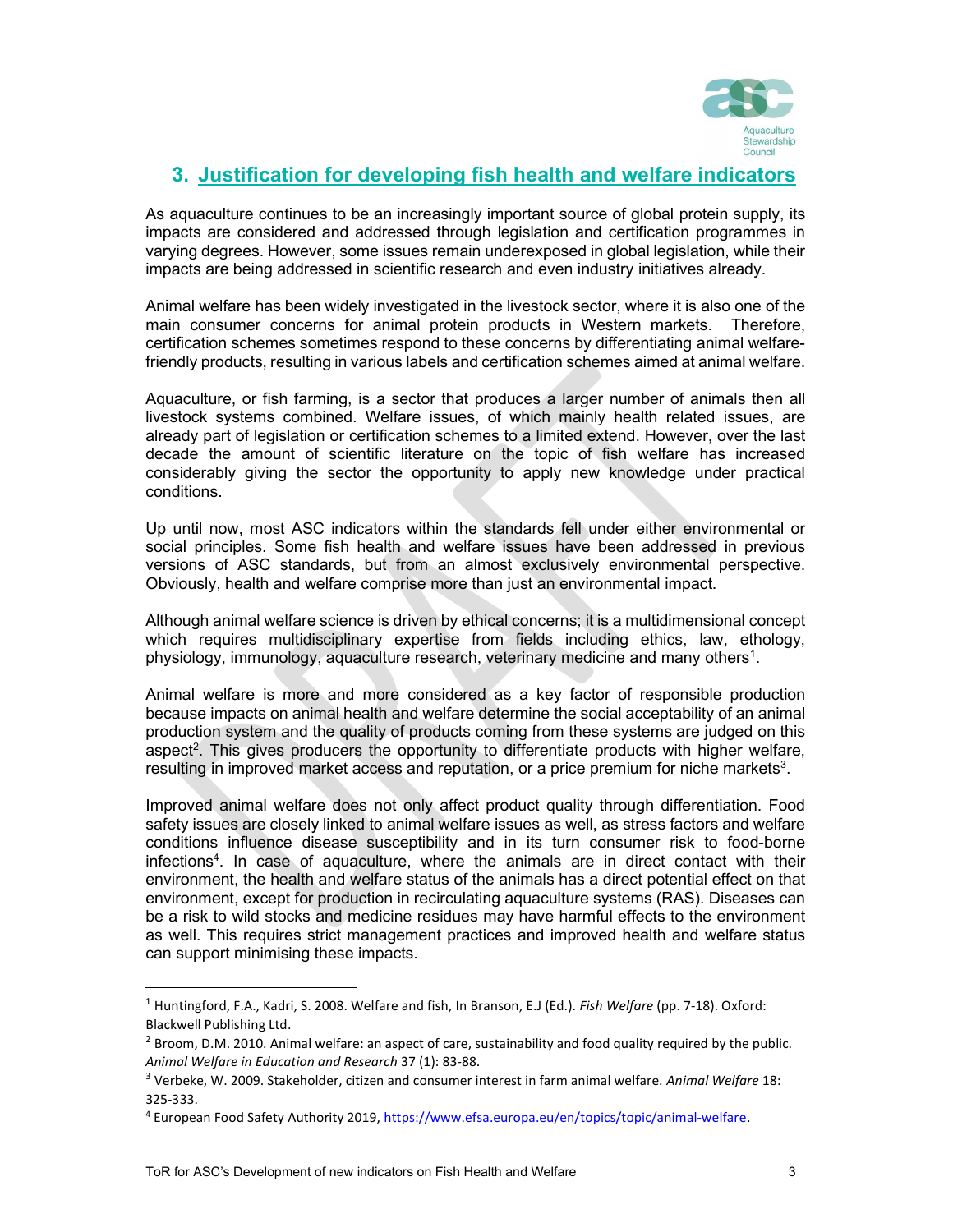

### 3. Justification for developing fish health and welfare indicators

As aquaculture continues to be an increasingly important source of global protein supply, its impacts are considered and addressed through legislation and certification programmes in varying degrees. However, some issues remain underexposed in global legislation, while their impacts are being addressed in scientific research and even industry initiatives already.

Animal welfare has been widely investigated in the livestock sector, where it is also one of the main consumer concerns for animal protein products in Western markets. Therefore, certification schemes sometimes respond to these concerns by differentiating animal welfarefriendly products, resulting in various labels and certification schemes aimed at animal welfare.

Aquaculture, or fish farming, is a sector that produces a larger number of animals then all livestock systems combined. Welfare issues, of which mainly health related issues, are already part of legislation or certification schemes to a limited extend. However, over the last decade the amount of scientific literature on the topic of fish welfare has increased considerably giving the sector the opportunity to apply new knowledge under practical conditions.

Up until now, most ASC indicators within the standards fell under either environmental or social principles. Some fish health and welfare issues have been addressed in previous versions of ASC standards, but from an almost exclusively environmental perspective. Obviously, health and welfare comprise more than just an environmental impact.

Although animal welfare science is driven by ethical concerns; it is a multidimensional concept which requires multidisciplinary expertise from fields including ethics, law, ethology, physiology, immunology, aquaculture research, veterinary medicine and many others<sup>1</sup>.

Animal welfare is more and more considered as a key factor of responsible production because impacts on animal health and welfare determine the social acceptability of an animal production system and the quality of products coming from these systems are judged on this aspect<sup>2</sup>. This gives producers the opportunity to differentiate products with higher welfare, resulting in improved market access and reputation, or a price premium for niche markets<sup>3</sup>.

Improved animal welfare does not only affect product quality through differentiation. Food safety issues are closely linked to animal welfare issues as well, as stress factors and welfare conditions influence disease susceptibility and in its turn consumer risk to food-borne infections<sup>4</sup>. In case of aquaculture, where the animals are in direct contact with their environment, the health and welfare status of the animals has a direct potential effect on that environment, except for production in recirculating aquaculture systems (RAS). Diseases can be a risk to wild stocks and medicine residues may have harmful effects to the environment as well. This requires strict management practices and improved health and welfare status can support minimising these impacts.

 $1$  Huntingford, F.A., Kadri, S. 2008. Welfare and fish, In Branson, E.J (Ed.). Fish Welfare (pp. 7-18). Oxford: Blackwell Publishing Ltd.

 $^2$  Broom, D.M. 2010. Animal welfare: an aspect of care, sustainability and food quality required by the public. Animal Welfare in Education and Research 37 (1): 83-88.

<sup>&</sup>lt;sup>3</sup> Verbeke, W. 2009. Stakeholder, citizen and consumer interest in farm animal welfare. Animal Welfare 18: 325-333.

<sup>&</sup>lt;sup>4</sup> European Food Safety Authority 2019, https://www.efsa.europa.eu/en/topics/topic/animal-welfare.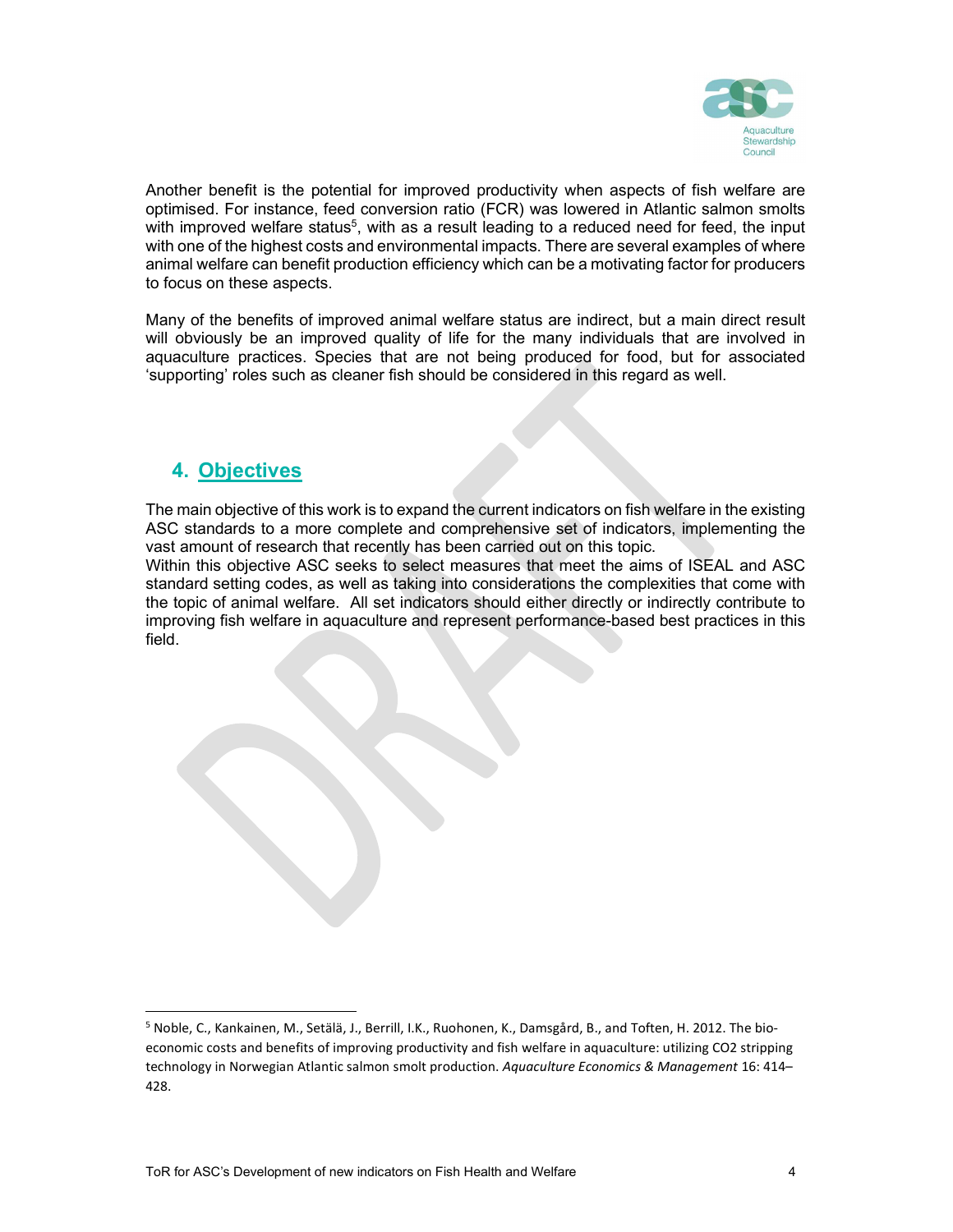

Another benefit is the potential for improved productivity when aspects of fish welfare are optimised. For instance, feed conversion ratio (FCR) was lowered in Atlantic salmon smolts with improved welfare status<sup>5</sup>, with as a result leading to a reduced need for feed, the input with one of the highest costs and environmental impacts. There are several examples of where animal welfare can benefit production efficiency which can be a motivating factor for producers to focus on these aspects.

Many of the benefits of improved animal welfare status are indirect, but a main direct result will obviously be an improved quality of life for the many individuals that are involved in aquaculture practices. Species that are not being produced for food, but for associated 'supporting' roles such as cleaner fish should be considered in this regard as well.

### 4. Objectives

The main objective of this work is to expand the current indicators on fish welfare in the existing ASC standards to a more complete and comprehensive set of indicators, implementing the vast amount of research that recently has been carried out on this topic.

Within this objective ASC seeks to select measures that meet the aims of ISEAL and ASC standard setting codes, as well as taking into considerations the complexities that come with the topic of animal welfare. All set indicators should either directly or indirectly contribute to improving fish welfare in aquaculture and represent performance-based best practices in this field.

<sup>5</sup> Noble, C., Kankainen, M., Setälä, J., Berrill, I.K., Ruohonen, K., Damsgård, B., and Toften, H. 2012. The bioeconomic costs and benefits of improving productivity and fish welfare in aquaculture: utilizing CO2 stripping technology in Norwegian Atlantic salmon smolt production. Aquaculture Economics & Management 16: 414-428.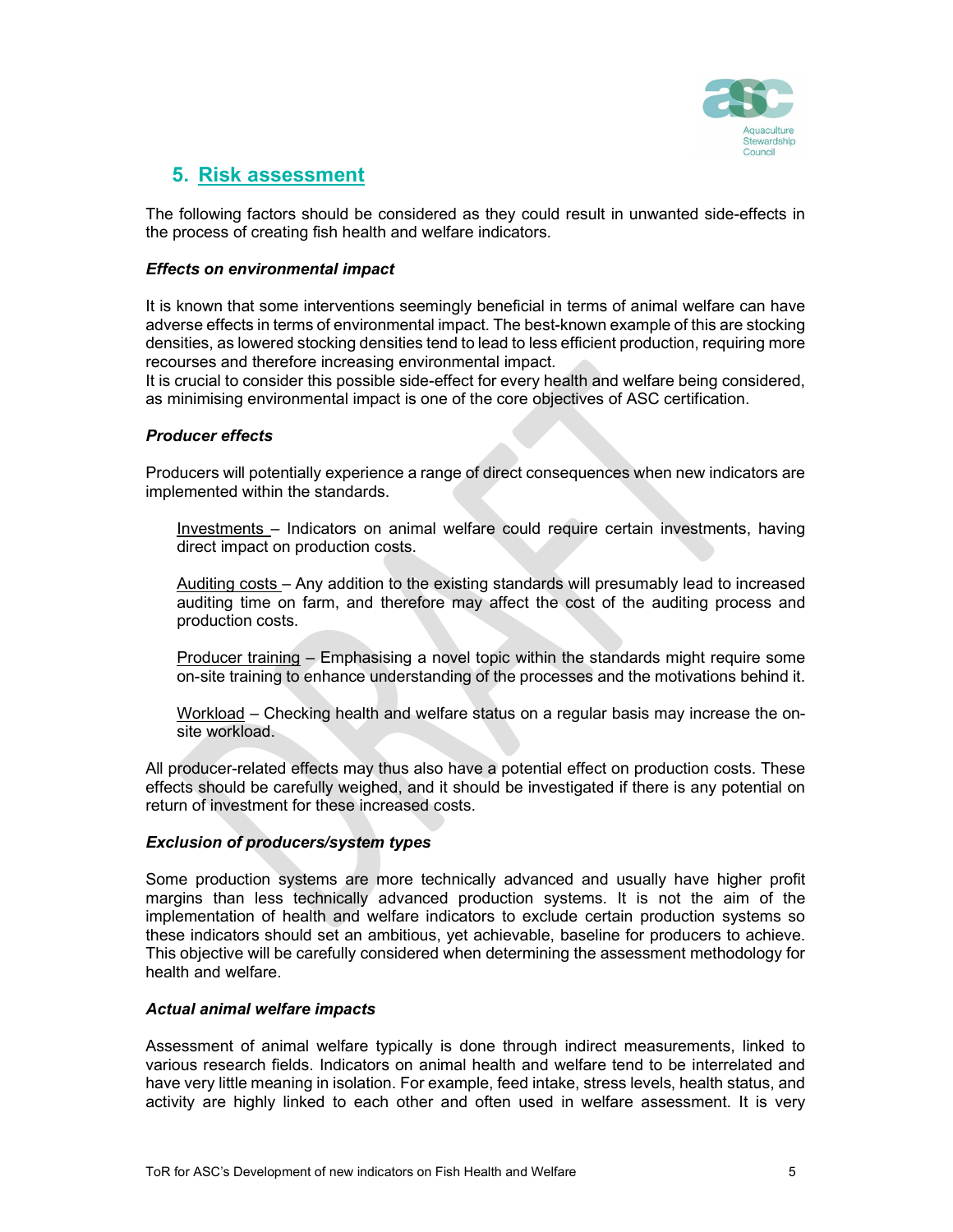

### 5. Risk assessment

The following factors should be considered as they could result in unwanted side-effects in the process of creating fish health and welfare indicators.

#### Effects on environmental impact

It is known that some interventions seemingly beneficial in terms of animal welfare can have adverse effects in terms of environmental impact. The best-known example of this are stocking densities, as lowered stocking densities tend to lead to less efficient production, requiring more recourses and therefore increasing environmental impact.

It is crucial to consider this possible side-effect for every health and welfare being considered, as minimising environmental impact is one of the core objectives of ASC certification.

#### Producer effects

Producers will potentially experience a range of direct consequences when new indicators are implemented within the standards.

Investments – Indicators on animal welfare could require certain investments, having direct impact on production costs.

Auditing costs – Any addition to the existing standards will presumably lead to increased auditing time on farm, and therefore may affect the cost of the auditing process and production costs.

Producer training – Emphasising a novel topic within the standards might require some on-site training to enhance understanding of the processes and the motivations behind it.

Workload – Checking health and welfare status on a regular basis may increase the onsite workload.

All producer-related effects may thus also have a potential effect on production costs. These effects should be carefully weighed, and it should be investigated if there is any potential on return of investment for these increased costs.

#### Exclusion of producers/system types

Some production systems are more technically advanced and usually have higher profit margins than less technically advanced production systems. It is not the aim of the implementation of health and welfare indicators to exclude certain production systems so these indicators should set an ambitious, yet achievable, baseline for producers to achieve. This objective will be carefully considered when determining the assessment methodology for health and welfare.

#### Actual animal welfare impacts

Assessment of animal welfare typically is done through indirect measurements, linked to various research fields. Indicators on animal health and welfare tend to be interrelated and have very little meaning in isolation. For example, feed intake, stress levels, health status, and activity are highly linked to each other and often used in welfare assessment. It is very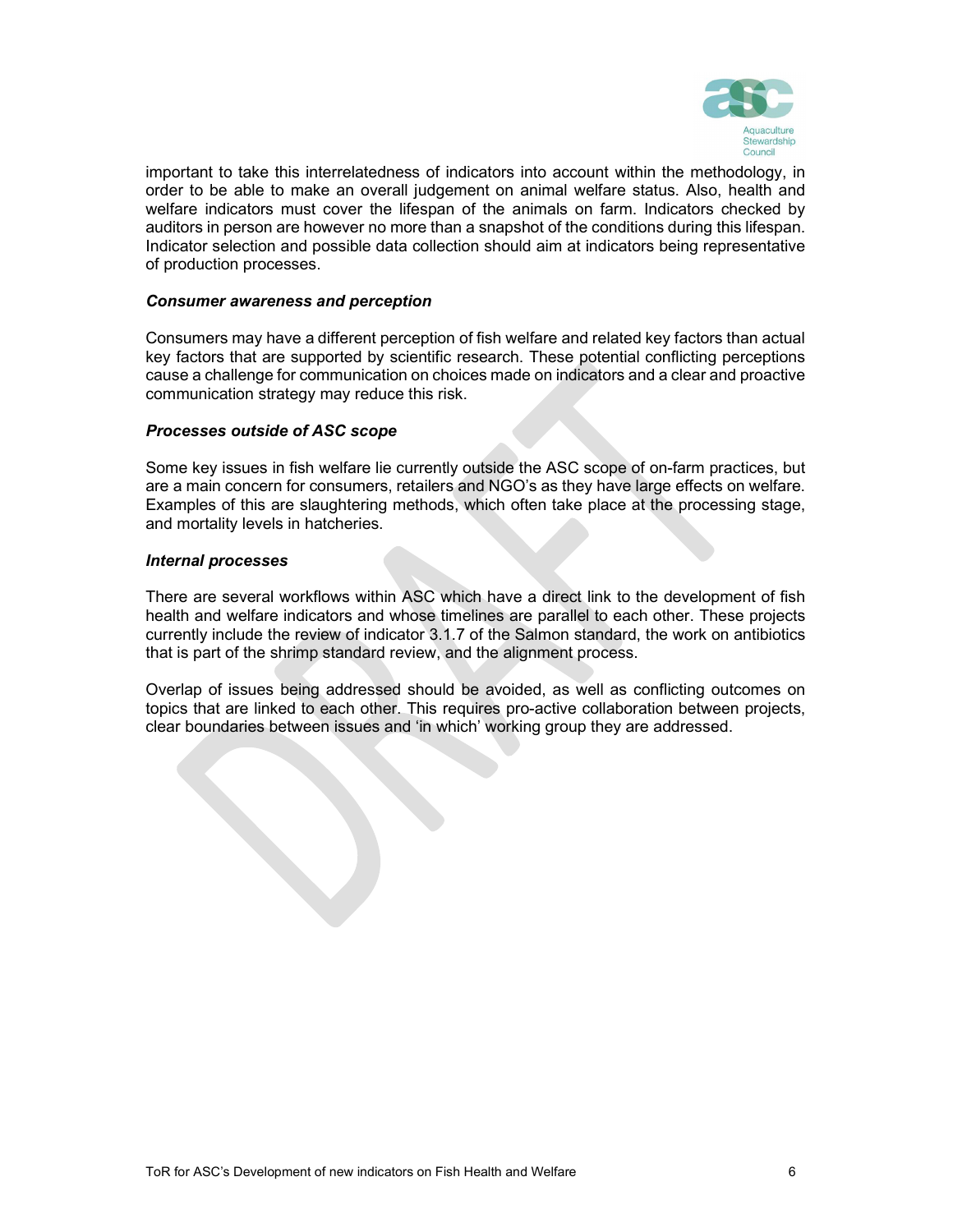

important to take this interrelatedness of indicators into account within the methodology, in order to be able to make an overall judgement on animal welfare status. Also, health and welfare indicators must cover the lifespan of the animals on farm. Indicators checked by auditors in person are however no more than a snapshot of the conditions during this lifespan. Indicator selection and possible data collection should aim at indicators being representative of production processes.

#### Consumer awareness and perception

Consumers may have a different perception of fish welfare and related key factors than actual key factors that are supported by scientific research. These potential conflicting perceptions cause a challenge for communication on choices made on indicators and a clear and proactive communication strategy may reduce this risk.

#### Processes outside of ASC scope

Some key issues in fish welfare lie currently outside the ASC scope of on-farm practices, but are a main concern for consumers, retailers and NGO's as they have large effects on welfare. Examples of this are slaughtering methods, which often take place at the processing stage, and mortality levels in hatcheries.

#### Internal processes

There are several workflows within ASC which have a direct link to the development of fish health and welfare indicators and whose timelines are parallel to each other. These projects currently include the review of indicator 3.1.7 of the Salmon standard, the work on antibiotics that is part of the shrimp standard review, and the alignment process.

Overlap of issues being addressed should be avoided, as well as conflicting outcomes on topics that are linked to each other. This requires pro-active collaboration between projects, clear boundaries between issues and 'in which' working group they are addressed.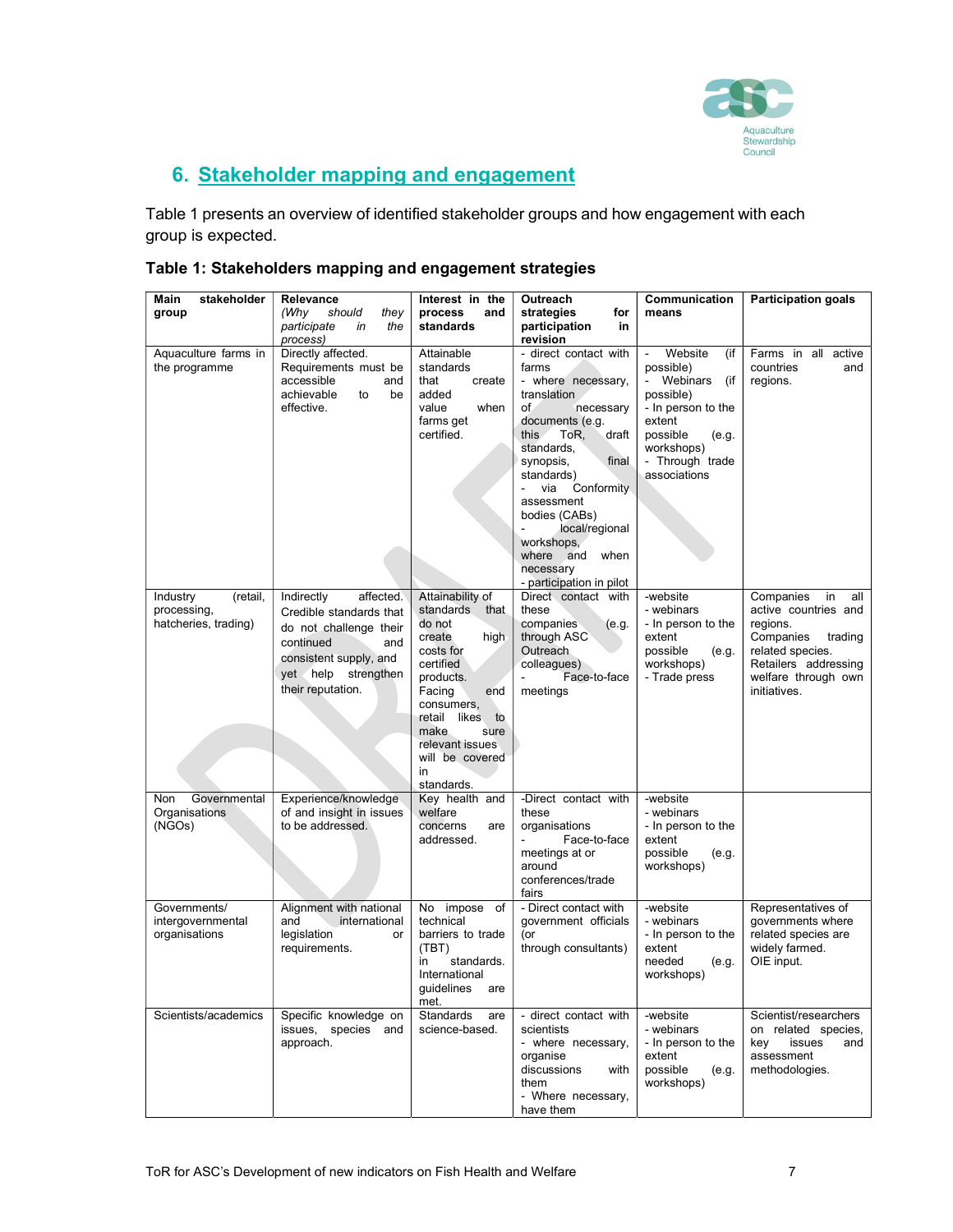

## 6. Stakeholder mapping and engagement

Table 1 presents an overview of identified stakeholder groups and how engagement with each group is expected.

| Table 1: Stakeholders mapping and engagement strategies |  |
|---------------------------------------------------------|--|
|---------------------------------------------------------|--|

| Main<br>stakeholder<br>group                                | Relevance<br>(Why<br>should<br>they<br>participate<br>in<br>the                                                                                                           | Interest in the<br>process<br>and<br>standards                                                                                                                                                                                             | Outreach<br>strategies<br>for<br>participation<br>in                                                                                                                                                                                                                                                                                                                         | Communication<br>means                                                                                                                                              | <b>Participation goals</b>                                                                                                                                            |
|-------------------------------------------------------------|---------------------------------------------------------------------------------------------------------------------------------------------------------------------------|--------------------------------------------------------------------------------------------------------------------------------------------------------------------------------------------------------------------------------------------|------------------------------------------------------------------------------------------------------------------------------------------------------------------------------------------------------------------------------------------------------------------------------------------------------------------------------------------------------------------------------|---------------------------------------------------------------------------------------------------------------------------------------------------------------------|-----------------------------------------------------------------------------------------------------------------------------------------------------------------------|
| Aquaculture farms in<br>the programme                       | process)<br>Directly affected.<br>Requirements must be<br>accessible<br>and<br>achievable<br>be<br>to<br>effective.                                                       | Attainable<br>standards<br>that<br>create<br>added<br>value<br>when<br>farms get<br>certified.                                                                                                                                             | revision<br>- direct contact with<br>farms<br>- where necessary,<br>translation<br>of<br>necessary<br>documents (e.g.<br>ToR,<br>draft<br>this.<br>standards,<br>final<br>synopsis,<br>standards)<br>Conformity<br>$\overline{\phantom{0}}$<br>via<br>assessment<br>bodies (CABs)<br>local/regional<br>workshops,<br>where and when<br>necessary<br>- participation in pilot | Website<br>(if<br>possible)<br>- Webinars<br>(if<br>possible)<br>- In person to the<br>extent<br>possible<br>(e.g.<br>workshops)<br>- Through trade<br>associations | Farms in all active<br>countries<br>and<br>regions.                                                                                                                   |
| Industry<br>(retail,<br>processing,<br>hatcheries, trading) | Indirectly<br>affected.<br>Credible standards that<br>do not challenge their<br>continued<br>and<br>consistent supply, and<br>yet help<br>strengthen<br>their reputation. | Attainability of<br>standards<br>that<br>do not<br>create<br>high<br>costs for<br>certified<br>products.<br>Facing<br>end<br>consumers,<br>likes<br>retail<br>to<br>make<br>sure<br>relevant issues<br>will be covered<br>in<br>standards. | Direct contact with<br>these<br>companies<br>(e.g.<br>through ASC<br>Outreach<br>colleagues)<br>Face-to-face<br>meetings                                                                                                                                                                                                                                                     | -website<br>- webinars<br>- In person to the<br>extent<br>possible<br>(e.g.<br>workshops)<br>- Trade press                                                          | Companies<br>in<br>all<br>active countries and<br>regions.<br>Companies<br>trading<br>related species.<br>Retailers addressing<br>welfare through own<br>initiatives. |
| Governmental<br><b>Non</b><br>Organisations<br>(NGOs)       | Experience/knowledge<br>of and insight in issues<br>to be addressed.                                                                                                      | Key health and<br>welfare<br>concerns<br>are<br>addressed.                                                                                                                                                                                 | -Direct contact with<br>these<br>organisations<br>Face-to-face<br>meetings at or<br>around<br>conferences/trade<br>fairs                                                                                                                                                                                                                                                     | -website<br>- webinars<br>- In person to the<br>extent<br>possible<br>(e.g.<br>workshops)                                                                           |                                                                                                                                                                       |
| Governments/<br>intergovernmental<br>organisations          | Alignment with national<br>and<br>international<br>legislation<br>or<br>requirements.                                                                                     | impose of<br>No<br>technical<br>barriers to trade<br>(TBT)<br>standards.<br>in<br>International<br>guidelines<br>are<br>met.                                                                                                               | - Direct contact with<br>government officials<br>(or<br>through consultants)                                                                                                                                                                                                                                                                                                 | -website<br>- webinars<br>- In person to the<br>extent<br>needed<br>(e.g.<br>workshops)                                                                             | Representatives of<br>governments where<br>related species are<br>widely farmed.<br>OIE input.                                                                        |
| Scientists/academics                                        | Specific knowledge on<br>issues, species and<br>approach.                                                                                                                 | Standards<br>are<br>science-based.                                                                                                                                                                                                         | - direct contact with<br>scientists<br>- where necessary,<br>organise<br>discussions<br>with<br>them<br>- Where necessary,<br>have them                                                                                                                                                                                                                                      | -website<br>- webinars<br>- In person to the<br>extent<br>possible<br>(e.g.<br>workshops)                                                                           | Scientist/researchers<br>on related species,<br>issues<br>kev<br>and<br>assessment<br>methodologies.                                                                  |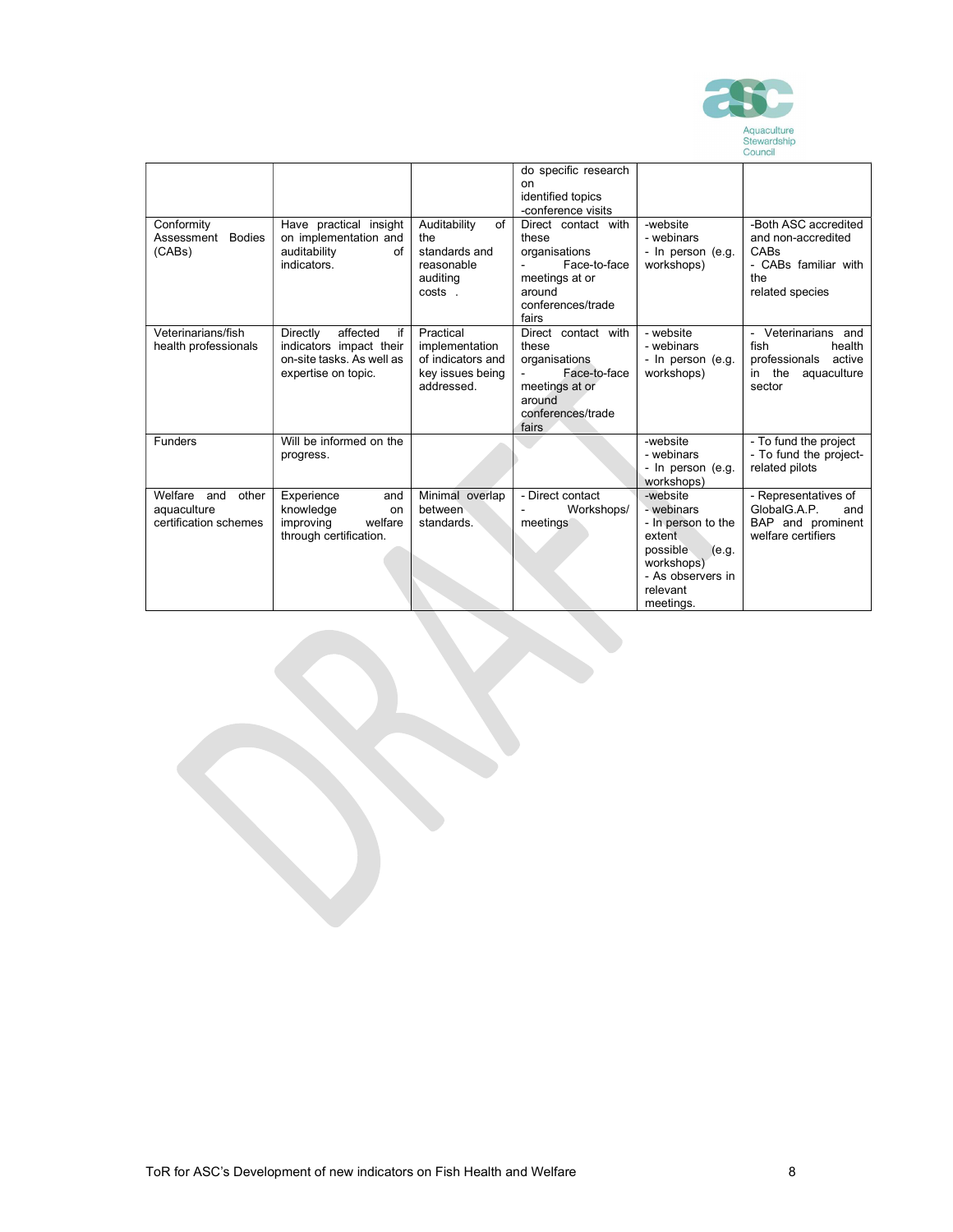

|                                                              |                                                                                                           |                                                                                    |                                                                                                                                                                                                  |                                                                                                                                         | Council                                                                                              |
|--------------------------------------------------------------|-----------------------------------------------------------------------------------------------------------|------------------------------------------------------------------------------------|--------------------------------------------------------------------------------------------------------------------------------------------------------------------------------------------------|-----------------------------------------------------------------------------------------------------------------------------------------|------------------------------------------------------------------------------------------------------|
| Conformity<br>Assessment<br><b>Bodies</b><br>(CABs)          | Have practical insight<br>on implementation and<br>auditability<br>of<br>indicators.                      | Auditability<br>of<br>the<br>standards and<br>reasonable<br>auditing<br>costs.     | do specific research<br>on<br>identified topics<br>-conference visits<br>Direct contact with<br>these<br>organisations<br>Face-to-face<br>meetings at or<br>around<br>conferences/trade<br>fairs | -website<br>- webinars<br>- In person (e.g.<br>workshops)                                                                               | -Both ASC accredited<br>and non-accredited<br>CABs<br>- CABs familiar with<br>the<br>related species |
| Veterinarians/fish<br>health professionals                   | affected<br>Directly<br>if<br>indicators impact their<br>on-site tasks. As well as<br>expertise on topic. | Practical<br>implementation<br>of indicators and<br>key issues being<br>addressed. | Direct contact with<br>these<br>organisations<br>Face-to-face<br>meetings at or<br>around<br>conferences/trade<br>fairs                                                                          | - website<br>- webinars<br>- In person (e.g.<br>workshops)                                                                              | Veterinarians and<br>fish<br>health<br>professionals<br>active<br>the<br>aquaculture<br>in<br>sector |
| <b>Funders</b>                                               | Will be informed on the<br>progress.                                                                      |                                                                                    |                                                                                                                                                                                                  | -website<br>- webinars<br>- In person (e.g.<br>workshops)                                                                               | - To fund the project<br>- To fund the project-<br>related pilots                                    |
| Welfare and<br>other<br>aquaculture<br>certification schemes | Experience<br>and<br>knowledge<br>on<br>welfare<br>improving<br>through certification.                    | Minimal overlap<br>between<br>standards.                                           | - Direct contact<br>Workshops/<br>meetings                                                                                                                                                       | -website<br>- webinars<br>- In person to the<br>extent<br>possible<br>(e.q.<br>workshops)<br>- As observers in<br>relevant<br>meetings. | - Representatives of<br>GlobalG.A.P.<br>and<br>BAP and prominent<br>welfare certifiers               |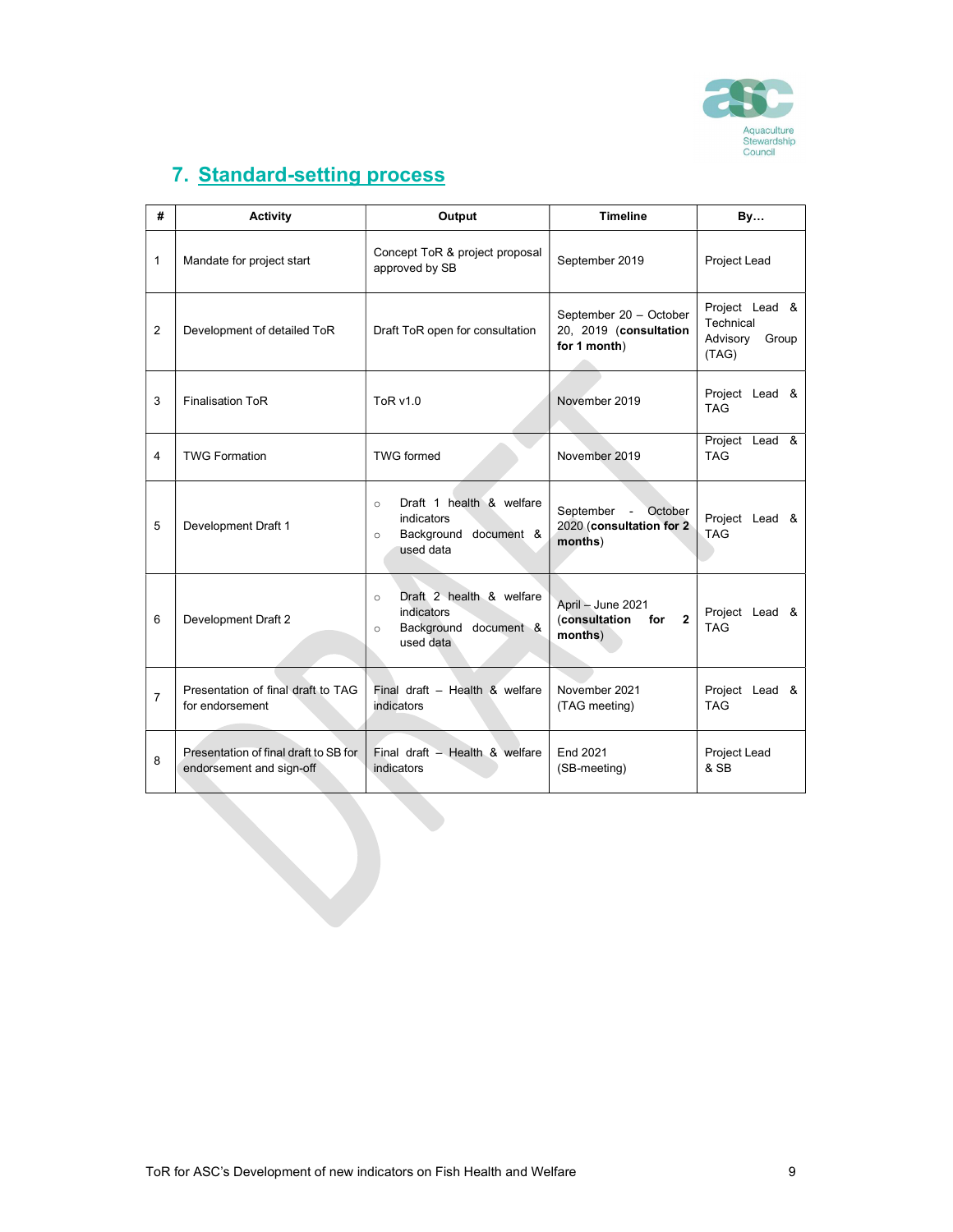

# 7. Standard-setting process

| #              | <b>Activity</b>                                                   | Output                                                                                             | <b>Timeline</b>                                                      | <b>By</b>                                                 |  |
|----------------|-------------------------------------------------------------------|----------------------------------------------------------------------------------------------------|----------------------------------------------------------------------|-----------------------------------------------------------|--|
| $\mathbf{1}$   | Mandate for project start                                         | Concept ToR & project proposal<br>approved by SB                                                   | September 2019                                                       | Project Lead                                              |  |
| 2              | Development of detailed ToR                                       | Draft ToR open for consultation                                                                    | September 20 - October<br>20, 2019 (consultation<br>for 1 month)     | Project Lead &<br>Technical<br>Advisory<br>Group<br>(TAG) |  |
| 3              | <b>Finalisation ToR</b>                                           | ToR v1.0                                                                                           | November 2019                                                        | Project Lead &<br><b>TAG</b>                              |  |
| 4              | <b>TWG Formation</b>                                              | <b>TWG formed</b>                                                                                  | November 2019                                                        | Project Lead &<br><b>TAG</b>                              |  |
| 5              | Development Draft 1                                               | Draft 1 health & welfare<br>$\circ$<br>indicators<br>Background document &<br>$\circ$<br>used data | September -<br>October<br>2020 (consultation for 2)<br>months)       | Project Lead &<br><b>TAG</b>                              |  |
| 6              | Development Draft 2                                               | Draft 2 health & welfare<br>$\circ$<br>indicators<br>Background document &<br>$\circ$<br>used data | April - June 2021<br>(consultation<br>$\mathbf{2}$<br>for<br>months) | Project Lead &<br><b>TAG</b>                              |  |
| $\overline{7}$ | Presentation of final draft to TAG<br>for endorsement             | Final draft - Health & welfare<br>indicators                                                       | November 2021<br>(TAG meeting)                                       | Project Lead &<br><b>TAG</b>                              |  |
| 8              | Presentation of final draft to SB for<br>endorsement and sign-off | Final draft - Health & welfare<br>indicators                                                       | End 2021<br>(SB-meeting)                                             | Project Lead<br>& SB                                      |  |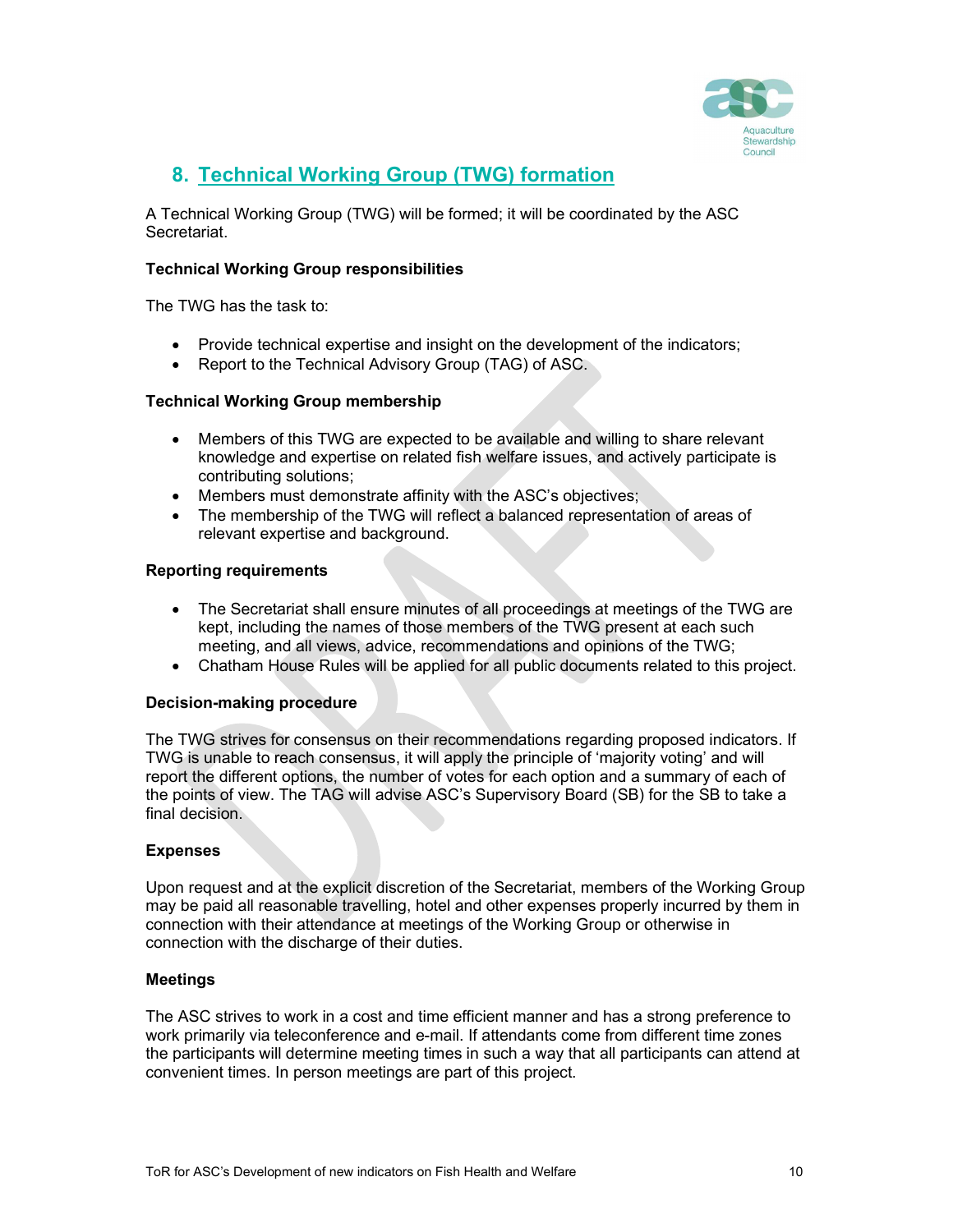

### 8. Technical Working Group (TWG) formation

A Technical Working Group (TWG) will be formed; it will be coordinated by the ASC Secretariat.

#### Technical Working Group responsibilities

The TWG has the task to:

- Provide technical expertise and insight on the development of the indicators;
- Report to the Technical Advisory Group (TAG) of ASC.

#### Technical Working Group membership

- Members of this TWG are expected to be available and willing to share relevant knowledge and expertise on related fish welfare issues, and actively participate is contributing solutions;
- Members must demonstrate affinity with the ASC's objectives;
- The membership of the TWG will reflect a balanced representation of areas of relevant expertise and background.

#### Reporting requirements

- The Secretariat shall ensure minutes of all proceedings at meetings of the TWG are kept, including the names of those members of the TWG present at each such meeting, and all views, advice, recommendations and opinions of the TWG;
- Chatham House Rules will be applied for all public documents related to this project.

#### Decision-making procedure

The TWG strives for consensus on their recommendations regarding proposed indicators. If TWG is unable to reach consensus, it will apply the principle of 'majority voting' and will report the different options, the number of votes for each option and a summary of each of the points of view. The TAG will advise ASC's Supervisory Board (SB) for the SB to take a final decision.

#### Expenses

Upon request and at the explicit discretion of the Secretariat, members of the Working Group may be paid all reasonable travelling, hotel and other expenses properly incurred by them in connection with their attendance at meetings of the Working Group or otherwise in connection with the discharge of their duties.

#### Meetings

The ASC strives to work in a cost and time efficient manner and has a strong preference to work primarily via teleconference and e-mail. If attendants come from different time zones the participants will determine meeting times in such a way that all participants can attend at convenient times. In person meetings are part of this project.